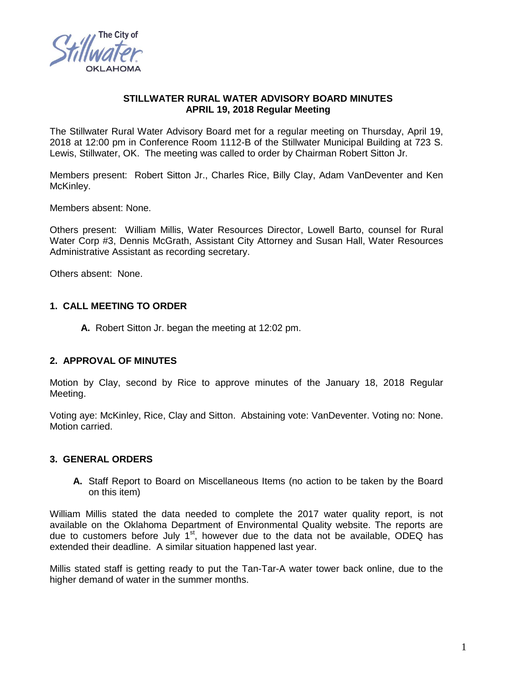

## **STILLWATER RURAL WATER ADVISORY BOARD MINUTES APRIL 19, 2018 Regular Meeting**

The Stillwater Rural Water Advisory Board met for a regular meeting on Thursday, April 19, 2018 at 12:00 pm in Conference Room 1112-B of the Stillwater Municipal Building at 723 S. Lewis, Stillwater, OK. The meeting was called to order by Chairman Robert Sitton Jr.

Members present: Robert Sitton Jr., Charles Rice, Billy Clay, Adam VanDeventer and Ken McKinley.

Members absent: None.

Others present: William Millis, Water Resources Director, Lowell Barto, counsel for Rural Water Corp #3, Dennis McGrath, Assistant City Attorney and Susan Hall, Water Resources Administrative Assistant as recording secretary.

Others absent: None.

## **1. CALL MEETING TO ORDER**

**A.** Robert Sitton Jr. began the meeting at 12:02 pm.

#### **2. APPROVAL OF MINUTES**

Motion by Clay, second by Rice to approve minutes of the January 18, 2018 Regular Meeting.

Voting aye: McKinley, Rice, Clay and Sitton. Abstaining vote: VanDeventer. Voting no: None. Motion carried.

#### **3. GENERAL ORDERS**

**A.** Staff Report to Board on Miscellaneous Items (no action to be taken by the Board on this item)

William Millis stated the data needed to complete the 2017 water quality report, is not available on the Oklahoma Department of Environmental Quality website. The reports are due to customers before July  $1<sup>st</sup>$ , however due to the data not be available, ODEQ has extended their deadline. A similar situation happened last year.

Millis stated staff is getting ready to put the Tan-Tar-A water tower back online, due to the higher demand of water in the summer months.